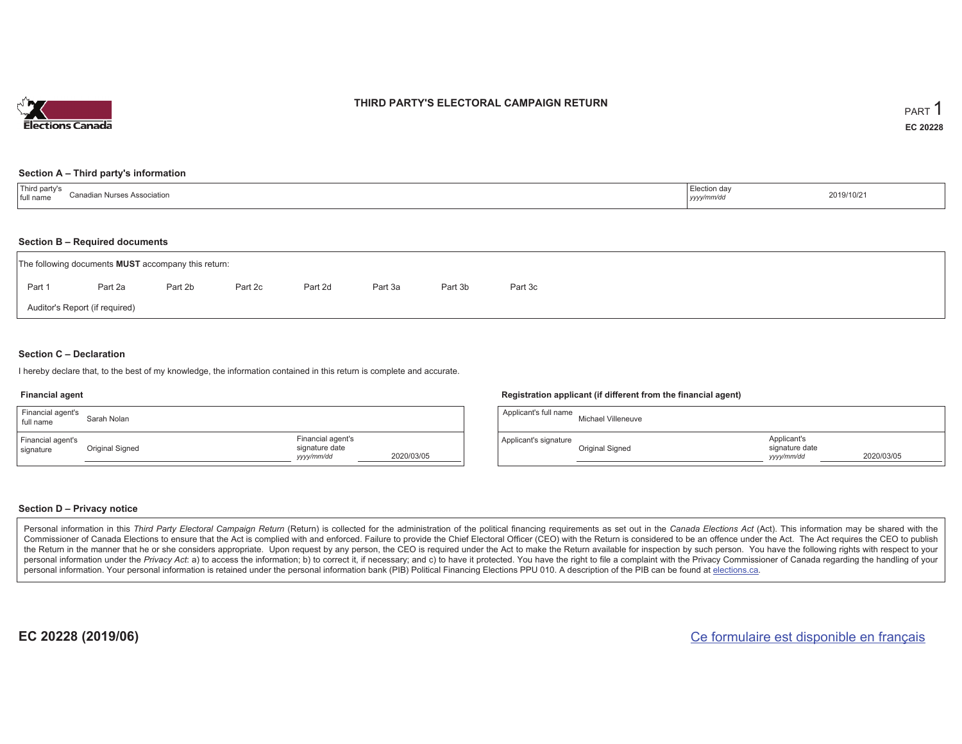

## **THIRD PARTY'S ELECTORAL CAMPAIGN RETURN**

#### **Section A – Third party's information**

| Third party's<br>Canadian Nurses Association<br>full name | Election day<br>yyyy/mm/dr' | 2019/10/21 |
|-----------------------------------------------------------|-----------------------------|------------|
|-----------------------------------------------------------|-----------------------------|------------|

#### **Section B – Required documents**

|        | The following documents <b>MUST</b> accompany this return: |         |         |         |         |         |         |  |
|--------|------------------------------------------------------------|---------|---------|---------|---------|---------|---------|--|
| Part 1 | Part 2a                                                    | Part 2b | Part 2c | Part 2d | Part 3a | Part 3b | Part 3c |  |
|        | Auditor's Report (if required)                             |         |         |         |         |         |         |  |

### **Section C – Declaration**

I hereby declare that, to the best of my knowledge, the information contained in this return is complete and accurate.

#### **Financial agent**

| Financial agent's<br>full name | Sarah Nolan     |                                                   |            |
|--------------------------------|-----------------|---------------------------------------------------|------------|
| Financial agent's<br>signature | Original Signed | Financial agent's<br>signature date<br>yyyy/mm/dd | 2020/03/05 |

#### **Registration applicant (if different from the financial agent)**

| Applicant's full name | Michael Villeneuve |                                             |            |
|-----------------------|--------------------|---------------------------------------------|------------|
| Applicant's signature | Original Signed    | Applicant's<br>signature date<br>yyyy/mm/dd | 2020/03/05 |

### **Section D – Privacy notice**

Personal information in this Third Party Electoral Campaign Return (Return) is collected for the administration of the political financing requirements as set out in the Canada Elections Act (Act). This information may be Commissioner of Canada Elections to ensure that the Act is complied with and enforced. Failure to provide the Chief Electoral Officer (CEO) with the Return is considered to be an offence under the Act. The Act requires the the Return in the manner that he or she considers appropriate. Upon request by any person, the CEO is required under the Act to make the Return available for inspection by such person. You have the following rights with re personal information under the Privacy Act: a) to access the information; b) to correct it, if necessary; and c) to have it protected. You have the right to file a complaint with the Privacy Commissioner of Canada regardin personal information. Your personal information is retained under the personal information bank (PIB) Political Financing Elections PPU 010. A description of the PIB can be found at elections.ca.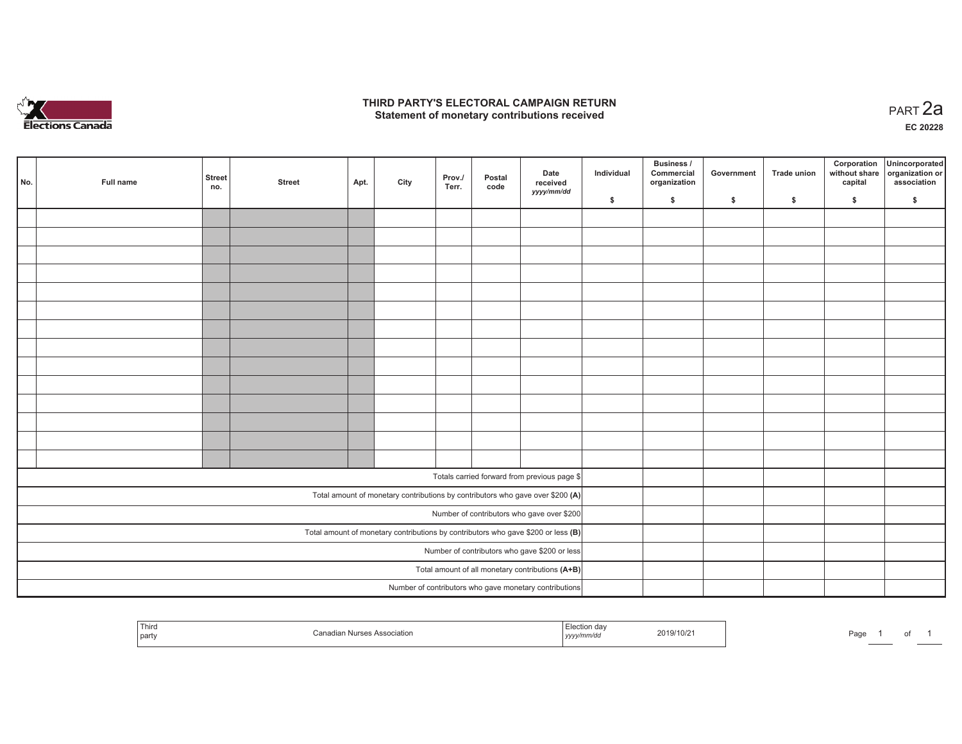

## **THIRD PARTY'S ELECTORAL CAMPAIGN RETURN HIRD PARTY'S ELECTORAL CAMPAIGN RETURN<br>Statement of monetary contributions received PART 2a**

**EC 20228**

| No.                                           | Full name                                                                           | <b>Street</b><br>no. | <b>Street</b> | Apt. | City | Prov./<br>Terr. | Postal<br>code | Date<br>received<br>yyyy/mm/dd                                                 | Individual | <b>Business /</b><br>Commercial<br>organization | Government | Trade union  | Corporation<br>capital | Unincorporated<br>without share organization or<br>association |
|-----------------------------------------------|-------------------------------------------------------------------------------------|----------------------|---------------|------|------|-----------------|----------------|--------------------------------------------------------------------------------|------------|-------------------------------------------------|------------|--------------|------------------------|----------------------------------------------------------------|
|                                               |                                                                                     |                      |               |      |      |                 |                |                                                                                | \$         | \$                                              | \$         | $\mathbf{s}$ | \$                     | \$                                                             |
|                                               |                                                                                     |                      |               |      |      |                 |                |                                                                                |            |                                                 |            |              |                        |                                                                |
|                                               |                                                                                     |                      |               |      |      |                 |                |                                                                                |            |                                                 |            |              |                        |                                                                |
|                                               |                                                                                     |                      |               |      |      |                 |                |                                                                                |            |                                                 |            |              |                        |                                                                |
|                                               |                                                                                     |                      |               |      |      |                 |                |                                                                                |            |                                                 |            |              |                        |                                                                |
|                                               |                                                                                     |                      |               |      |      |                 |                |                                                                                |            |                                                 |            |              |                        |                                                                |
|                                               |                                                                                     |                      |               |      |      |                 |                |                                                                                |            |                                                 |            |              |                        |                                                                |
|                                               |                                                                                     |                      |               |      |      |                 |                |                                                                                |            |                                                 |            |              |                        |                                                                |
|                                               |                                                                                     |                      |               |      |      |                 |                |                                                                                |            |                                                 |            |              |                        |                                                                |
|                                               |                                                                                     |                      |               |      |      |                 |                |                                                                                |            |                                                 |            |              |                        |                                                                |
|                                               |                                                                                     |                      |               |      |      |                 |                |                                                                                |            |                                                 |            |              |                        |                                                                |
|                                               |                                                                                     |                      |               |      |      |                 |                |                                                                                |            |                                                 |            |              |                        |                                                                |
|                                               |                                                                                     |                      |               |      |      |                 |                |                                                                                |            |                                                 |            |              |                        |                                                                |
|                                               |                                                                                     |                      |               |      |      |                 |                |                                                                                |            |                                                 |            |              |                        |                                                                |
|                                               |                                                                                     |                      |               |      |      |                 |                |                                                                                |            |                                                 |            |              |                        |                                                                |
|                                               |                                                                                     |                      |               |      |      |                 |                |                                                                                |            |                                                 |            |              |                        |                                                                |
|                                               |                                                                                     |                      |               |      |      |                 |                | Totals carried forward from previous page \$                                   |            |                                                 |            |              |                        |                                                                |
|                                               |                                                                                     |                      |               |      |      |                 |                | Total amount of monetary contributions by contributors who gave over \$200 (A) |            |                                                 |            |              |                        |                                                                |
|                                               |                                                                                     |                      |               |      |      |                 |                | Number of contributors who gave over \$200                                     |            |                                                 |            |              |                        |                                                                |
|                                               | Total amount of monetary contributions by contributors who gave \$200 or less $(B)$ |                      |               |      |      |                 |                |                                                                                |            |                                                 |            |              |                        |                                                                |
| Number of contributors who gave \$200 or less |                                                                                     |                      |               |      |      |                 |                |                                                                                |            |                                                 |            |              |                        |                                                                |
|                                               |                                                                                     |                      |               |      |      |                 |                | Total amount of all monetary contributions (A+B)                               |            |                                                 |            |              |                        |                                                                |
|                                               |                                                                                     |                      |               |      |      |                 |                | Number of contributors who gave monetary contributions                         |            |                                                 |            |              |                        |                                                                |

| Third<br>party | іянс | ,,,,, | 2019/10/2 | Paα⊾ |  |  |  |
|----------------|------|-------|-----------|------|--|--|--|
|----------------|------|-------|-----------|------|--|--|--|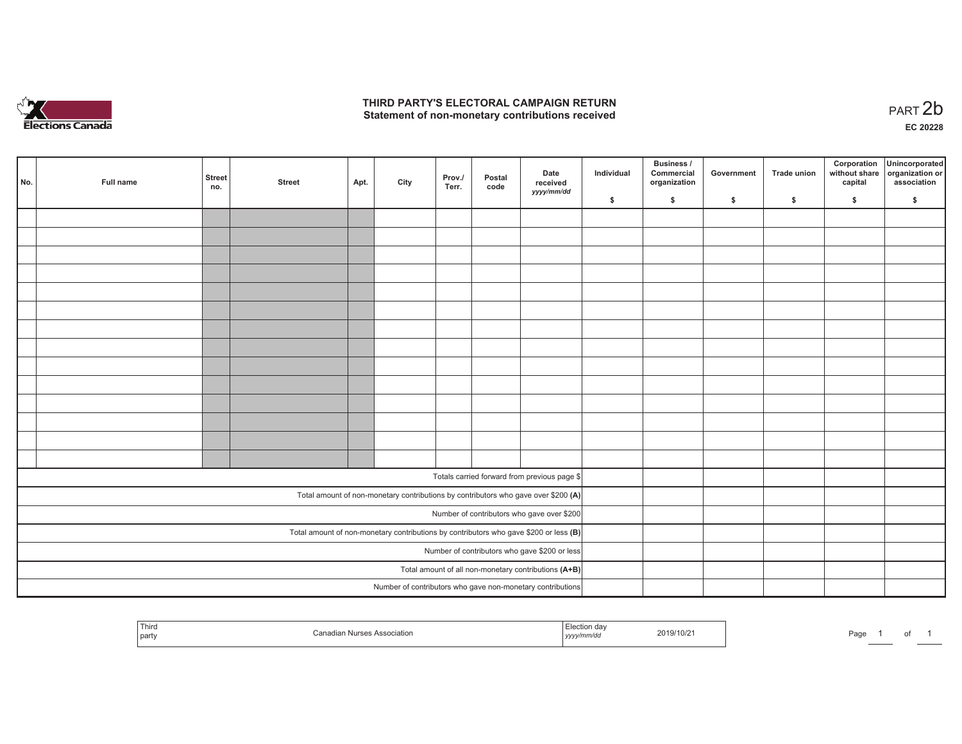

## **THIRD PARTY'S ELECTORAL CAMPAIGN RETURN**  THIRD PARTY'S ELECTORAL CAMPAIGN RETURN<br>Statement of non-monetary contributions received<br> **PART 2b**

of 1

| No. | Full name | <b>Street</b><br>no. | <b>Street</b> | Apt. | City | Prov./<br>Terr. | Postal<br>code | Date<br>received<br>yyyy/mm/dd                                                          | Individual | <b>Business /</b><br>Commercial<br>organization | Government | Trade union | Corporation<br>capital | Unincorporated<br>without share organization or<br>association |
|-----|-----------|----------------------|---------------|------|------|-----------------|----------------|-----------------------------------------------------------------------------------------|------------|-------------------------------------------------|------------|-------------|------------------------|----------------------------------------------------------------|
|     |           |                      |               |      |      |                 |                |                                                                                         | \$         | \$                                              | \$         | \$          | \$                     | \$                                                             |
|     |           |                      |               |      |      |                 |                |                                                                                         |            |                                                 |            |             |                        |                                                                |
|     |           |                      |               |      |      |                 |                |                                                                                         |            |                                                 |            |             |                        |                                                                |
|     |           |                      |               |      |      |                 |                |                                                                                         |            |                                                 |            |             |                        |                                                                |
|     |           |                      |               |      |      |                 |                |                                                                                         |            |                                                 |            |             |                        |                                                                |
|     |           |                      |               |      |      |                 |                |                                                                                         |            |                                                 |            |             |                        |                                                                |
|     |           |                      |               |      |      |                 |                |                                                                                         |            |                                                 |            |             |                        |                                                                |
|     |           |                      |               |      |      |                 |                |                                                                                         |            |                                                 |            |             |                        |                                                                |
|     |           |                      |               |      |      |                 |                |                                                                                         |            |                                                 |            |             |                        |                                                                |
|     |           |                      |               |      |      |                 |                |                                                                                         |            |                                                 |            |             |                        |                                                                |
|     |           |                      |               |      |      |                 |                |                                                                                         |            |                                                 |            |             |                        |                                                                |
|     |           |                      |               |      |      |                 |                |                                                                                         |            |                                                 |            |             |                        |                                                                |
|     |           |                      |               |      |      |                 |                |                                                                                         |            |                                                 |            |             |                        |                                                                |
|     |           |                      |               |      |      |                 |                |                                                                                         |            |                                                 |            |             |                        |                                                                |
|     |           |                      |               |      |      |                 |                |                                                                                         |            |                                                 |            |             |                        |                                                                |
|     |           |                      |               |      |      |                 |                | Totals carried forward from previous page \$                                            |            |                                                 |            |             |                        |                                                                |
|     |           |                      |               |      |      |                 |                |                                                                                         |            |                                                 |            |             |                        |                                                                |
|     |           |                      |               |      |      |                 |                | Total amount of non-monetary contributions by contributors who gave over \$200 (A)      |            |                                                 |            |             |                        |                                                                |
|     |           |                      |               |      |      |                 |                | Number of contributors who gave over \$200                                              |            |                                                 |            |             |                        |                                                                |
|     |           |                      |               |      |      |                 |                | Total amount of non-monetary contributions by contributors who gave \$200 or less $(B)$ |            |                                                 |            |             |                        |                                                                |
|     |           |                      |               |      |      |                 |                | Number of contributors who gave \$200 or less                                           |            |                                                 |            |             |                        |                                                                |
|     |           |                      |               |      |      |                 |                | Total amount of all non-monetary contributions (A+B)                                    |            |                                                 |            |             |                        |                                                                |
|     |           |                      |               |      |      |                 |                | Number of contributors who gave non-monetary contributions                              |            |                                                 |            |             |                        |                                                                |

| Third<br>party | Sana<br><b>Nurses Association</b><br>wanat | ection<br>n da<br>,,,,, | 2019/10/2 | Page |  |
|----------------|--------------------------------------------|-------------------------|-----------|------|--|
|----------------|--------------------------------------------|-------------------------|-----------|------|--|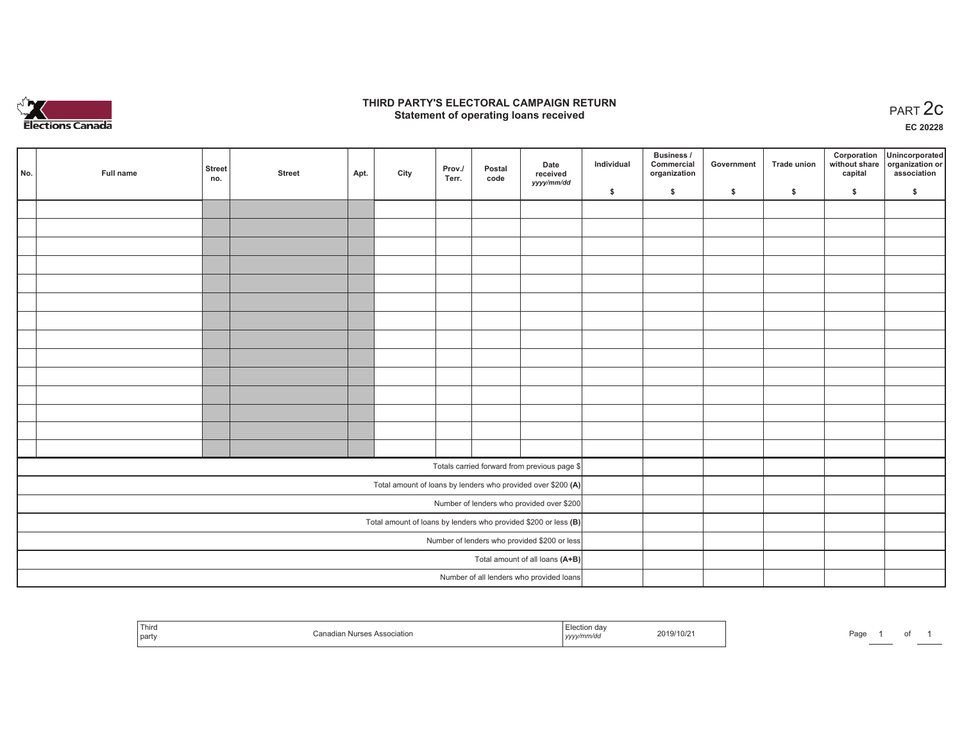

## **THIRD PARTY'S ELECTORAL CAMPAIGN RETURN STATE:** PARTY'S ELECTORAL CAMPAIGN RETURN<br>
Statement of operating loans received

**EC 20228**

| No. | Full name                                    | <b>Street</b><br>no. | <b>Street</b> | Apt. | City | Prov./<br>Terr. | Postal<br>code | Date<br>received                                                  | Individual | Business /<br>Commercial<br>organization | Government | Trade union | Corporation<br>capital | Unincorporated<br>without share organization or<br>association |
|-----|----------------------------------------------|----------------------|---------------|------|------|-----------------|----------------|-------------------------------------------------------------------|------------|------------------------------------------|------------|-------------|------------------------|----------------------------------------------------------------|
|     |                                              |                      |               |      |      |                 |                | yyyy/mm/dd                                                        | \$         | \$                                       | \$         | \$          | \$                     | \$                                                             |
|     |                                              |                      |               |      |      |                 |                |                                                                   |            |                                          |            |             |                        |                                                                |
|     |                                              |                      |               |      |      |                 |                |                                                                   |            |                                          |            |             |                        |                                                                |
|     |                                              |                      |               |      |      |                 |                |                                                                   |            |                                          |            |             |                        |                                                                |
|     |                                              |                      |               |      |      |                 |                |                                                                   |            |                                          |            |             |                        |                                                                |
|     |                                              |                      |               |      |      |                 |                |                                                                   |            |                                          |            |             |                        |                                                                |
|     |                                              |                      |               |      |      |                 |                |                                                                   |            |                                          |            |             |                        |                                                                |
|     |                                              |                      |               |      |      |                 |                |                                                                   |            |                                          |            |             |                        |                                                                |
|     |                                              |                      |               |      |      |                 |                |                                                                   |            |                                          |            |             |                        |                                                                |
|     |                                              |                      |               |      |      |                 |                |                                                                   |            |                                          |            |             |                        |                                                                |
|     |                                              |                      |               |      |      |                 |                |                                                                   |            |                                          |            |             |                        |                                                                |
|     |                                              |                      |               |      |      |                 |                |                                                                   |            |                                          |            |             |                        |                                                                |
|     |                                              |                      |               |      |      |                 |                |                                                                   |            |                                          |            |             |                        |                                                                |
|     |                                              |                      |               |      |      |                 |                |                                                                   |            |                                          |            |             |                        |                                                                |
|     |                                              |                      |               |      |      |                 |                |                                                                   |            |                                          |            |             |                        |                                                                |
|     |                                              |                      |               |      |      |                 |                | Totals carried forward from previous page \$                      |            |                                          |            |             |                        |                                                                |
|     |                                              |                      |               |      |      |                 |                | Total amount of loans by lenders who provided over \$200 (A)      |            |                                          |            |             |                        |                                                                |
|     |                                              |                      |               |      |      |                 |                | Number of lenders who provided over \$200                         |            |                                          |            |             |                        |                                                                |
|     |                                              |                      |               |      |      |                 |                | Total amount of loans by lenders who provided \$200 or less $(B)$ |            |                                          |            |             |                        |                                                                |
|     | Number of lenders who provided \$200 or less |                      |               |      |      |                 |                |                                                                   |            |                                          |            |             |                        |                                                                |
|     | Total amount of all loans (A+B)              |                      |               |      |      |                 |                |                                                                   |            |                                          |            |             |                        |                                                                |
|     |                                              |                      |               |      |      |                 |                | Number of all lenders who provided loans                          |            |                                          |            |             |                        |                                                                |

| Third<br>party | iciatioi | <br>wmmvu<br>  <i>y y y y</i> | 2019/10/2 | Page |  |  |  |
|----------------|----------|-------------------------------|-----------|------|--|--|--|
|----------------|----------|-------------------------------|-----------|------|--|--|--|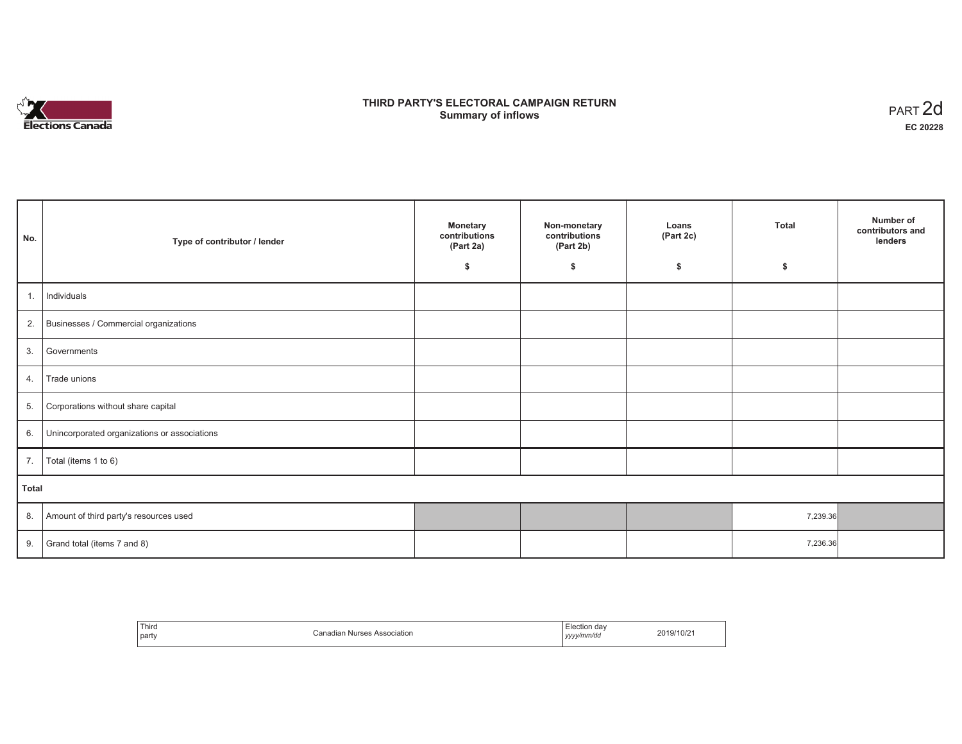

# **THIRD PARTY'S ELECTORAL CAMPAIGN RETURN S** ELECTORAL CAMPAIGN RETURN<br>Summary of inflows PART 2d

| No.   | Type of contributor / lender                 | <b>Monetary</b><br>contributions<br>(Part 2a)<br>\$ | Non-monetary<br>contributions<br>(Part 2b)<br>\$ | Loans<br>(Part 2c)<br>\$ | <b>Total</b><br>\$ | Number of<br>contributors and<br>lenders |
|-------|----------------------------------------------|-----------------------------------------------------|--------------------------------------------------|--------------------------|--------------------|------------------------------------------|
|       |                                              |                                                     |                                                  |                          |                    |                                          |
| 1.    | Individuals                                  |                                                     |                                                  |                          |                    |                                          |
|       | 2. Businesses / Commercial organizations     |                                                     |                                                  |                          |                    |                                          |
| 3.    | Governments                                  |                                                     |                                                  |                          |                    |                                          |
| 4.    | Trade unions                                 |                                                     |                                                  |                          |                    |                                          |
| 5.    | Corporations without share capital           |                                                     |                                                  |                          |                    |                                          |
| 6.    | Unincorporated organizations or associations |                                                     |                                                  |                          |                    |                                          |
| 7.    | Total (items 1 to 6)                         |                                                     |                                                  |                          |                    |                                          |
| Total |                                              |                                                     |                                                  |                          |                    |                                          |
| 8.    | Amount of third party's resources used       |                                                     |                                                  |                          | 7,239.36           |                                          |
| 9.    | Grand total (items 7 and 8)                  |                                                     |                                                  |                          | 7,236.36           |                                          |

| Third<br>party | `anadian<br>Nurse <sup>2</sup><br>ciation. | . dav<br>⊟lection<br>.<br>yyyy/mm/do<br>,,,, | 2019/10/2 |
|----------------|--------------------------------------------|----------------------------------------------|-----------|
|----------------|--------------------------------------------|----------------------------------------------|-----------|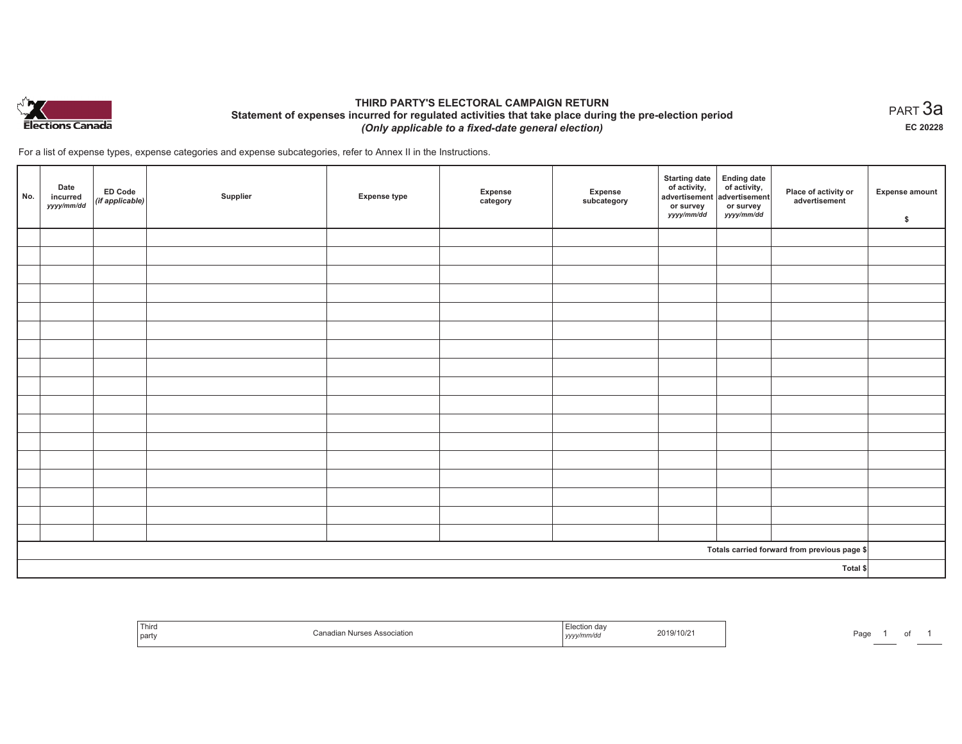

## **THIRD PARTY'S ELECTORAL CAMPAIGN RETURN Statement of expenses incurred for regulated activities that take place during the pre-election period**  *(Only applicable to a fixed-date general election)*

For a list of expense types, expense categories and expense subcategories, refer to Annex II in the Instructions.

| No. | Date<br>incurred<br>yyyy/mm/dd | <b>ED Code</b><br>$($ if applicable $)$ | Supplier | <b>Expense type</b> | Expense<br>category | Expense<br>subcategory | <b>Starting date</b><br>of activity,<br>advertisement<br>or survey<br>yyyy/mm/dd | Ending date<br>of activity,<br>advertisement<br>or survey<br>yyyy/mm/dd | Place of activity or<br>advertisement        | <b>Expense amount</b><br>\$ |
|-----|--------------------------------|-----------------------------------------|----------|---------------------|---------------------|------------------------|----------------------------------------------------------------------------------|-------------------------------------------------------------------------|----------------------------------------------|-----------------------------|
|     |                                |                                         |          |                     |                     |                        |                                                                                  |                                                                         |                                              |                             |
|     |                                |                                         |          |                     |                     |                        |                                                                                  |                                                                         |                                              |                             |
|     |                                |                                         |          |                     |                     |                        |                                                                                  |                                                                         |                                              |                             |
|     |                                |                                         |          |                     |                     |                        |                                                                                  |                                                                         |                                              |                             |
|     |                                |                                         |          |                     |                     |                        |                                                                                  |                                                                         |                                              |                             |
|     |                                |                                         |          |                     |                     |                        |                                                                                  |                                                                         |                                              |                             |
|     |                                |                                         |          |                     |                     |                        |                                                                                  |                                                                         |                                              |                             |
|     |                                |                                         |          |                     |                     |                        |                                                                                  |                                                                         |                                              |                             |
|     |                                |                                         |          |                     |                     |                        |                                                                                  |                                                                         |                                              |                             |
|     |                                |                                         |          |                     |                     |                        |                                                                                  |                                                                         |                                              |                             |
|     |                                |                                         |          |                     |                     |                        |                                                                                  |                                                                         |                                              |                             |
|     |                                |                                         |          |                     |                     |                        |                                                                                  |                                                                         |                                              |                             |
|     |                                |                                         |          |                     |                     |                        |                                                                                  |                                                                         |                                              |                             |
|     |                                |                                         |          |                     |                     |                        |                                                                                  |                                                                         |                                              |                             |
|     |                                |                                         |          |                     |                     |                        |                                                                                  |                                                                         |                                              |                             |
|     |                                |                                         |          |                     |                     |                        |                                                                                  |                                                                         |                                              |                             |
|     |                                |                                         |          |                     |                     |                        |                                                                                  |                                                                         |                                              |                             |
|     |                                |                                         |          |                     |                     |                        |                                                                                  |                                                                         | Totals carried forward from previous page \$ |                             |
|     | Total \$                       |                                         |          |                     |                     |                        |                                                                                  |                                                                         |                                              |                             |

| 1 ulte<br>l party | ssocialion | ,,,,, | 2019/10/21 | Page |  |  |  |
|-------------------|------------|-------|------------|------|--|--|--|
|-------------------|------------|-------|------------|------|--|--|--|

 $_{\sf PART}$ 3a **EC 20228**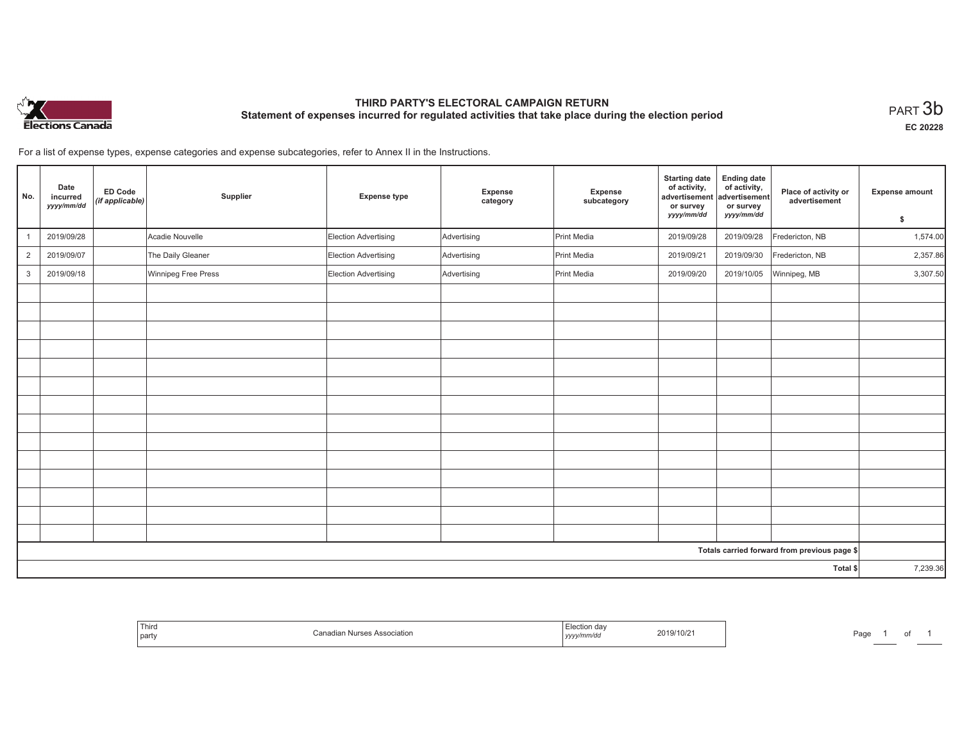

# **THIRD PARTY'S ELECTORAL CAMPAIGN RETURN Statement of expenses incurred for regulated activities that take place during the election period**<br>PART  $3b$

**EC 20228**

1 of 1

For a list of expense types, expense categories and expense subcategories, refer to Annex II in the Instructions.

| No.            | Date<br>incurred<br>yyyy/mm/dd | <b>ED Code</b><br>(if applicable) | Supplier            | <b>Expense type</b>  | Expense<br>category | Expense<br>subcategory | <b>Starting date</b><br>of activity,<br>advertisement<br>or survey<br>yyyy/mm/dd | <b>Ending date</b><br>of activity,<br>advertisement<br>or survey<br>yyyy/mm/dd | Place of activity or<br>advertisement        | <b>Expense amount</b> |
|----------------|--------------------------------|-----------------------------------|---------------------|----------------------|---------------------|------------------------|----------------------------------------------------------------------------------|--------------------------------------------------------------------------------|----------------------------------------------|-----------------------|
|                |                                |                                   |                     |                      |                     |                        |                                                                                  |                                                                                |                                              | \$                    |
|                | 2019/09/28                     |                                   | Acadie Nouvelle     | Election Advertising | Advertising         | Print Media            | 2019/09/28                                                                       | 2019/09/28                                                                     | Fredericton, NB                              | 1,574.00              |
| $\overline{2}$ | 2019/09/07                     |                                   | The Daily Gleaner   | Election Advertising | Advertising         | Print Media            | 2019/09/21                                                                       | 2019/09/30                                                                     | Fredericton, NB                              | 2,357.86              |
| $\mathbf{3}$   | 2019/09/18                     |                                   | Winnipeg Free Press | Election Advertising | Advertising         | Print Media            | 2019/09/20                                                                       | 2019/10/05                                                                     | Winnipeg, MB                                 | 3,307.50              |
|                |                                |                                   |                     |                      |                     |                        |                                                                                  |                                                                                |                                              |                       |
|                |                                |                                   |                     |                      |                     |                        |                                                                                  |                                                                                |                                              |                       |
|                |                                |                                   |                     |                      |                     |                        |                                                                                  |                                                                                |                                              |                       |
|                |                                |                                   |                     |                      |                     |                        |                                                                                  |                                                                                |                                              |                       |
|                |                                |                                   |                     |                      |                     |                        |                                                                                  |                                                                                |                                              |                       |
|                |                                |                                   |                     |                      |                     |                        |                                                                                  |                                                                                |                                              |                       |
|                |                                |                                   |                     |                      |                     |                        |                                                                                  |                                                                                |                                              |                       |
|                |                                |                                   |                     |                      |                     |                        |                                                                                  |                                                                                |                                              |                       |
|                |                                |                                   |                     |                      |                     |                        |                                                                                  |                                                                                |                                              |                       |
|                |                                |                                   |                     |                      |                     |                        |                                                                                  |                                                                                |                                              |                       |
|                |                                |                                   |                     |                      |                     |                        |                                                                                  |                                                                                |                                              |                       |
|                |                                |                                   |                     |                      |                     |                        |                                                                                  |                                                                                |                                              |                       |
|                |                                |                                   |                     |                      |                     |                        |                                                                                  |                                                                                |                                              |                       |
|                |                                |                                   |                     |                      |                     |                        |                                                                                  |                                                                                |                                              |                       |
|                |                                |                                   |                     |                      |                     |                        |                                                                                  |                                                                                | Totals carried forward from previous page \$ |                       |
|                |                                |                                   |                     |                      |                     |                        |                                                                                  |                                                                                | Total \$                                     | 7,239.36              |

| Third<br>and the control of the con-<br>part | Nurses Association<br>'onodio<br>וומונונ<br>,,,,, | ection dav<br>2019/10/2<br>yyy/mm/dd | Page |
|----------------------------------------------|---------------------------------------------------|--------------------------------------|------|
|----------------------------------------------|---------------------------------------------------|--------------------------------------|------|